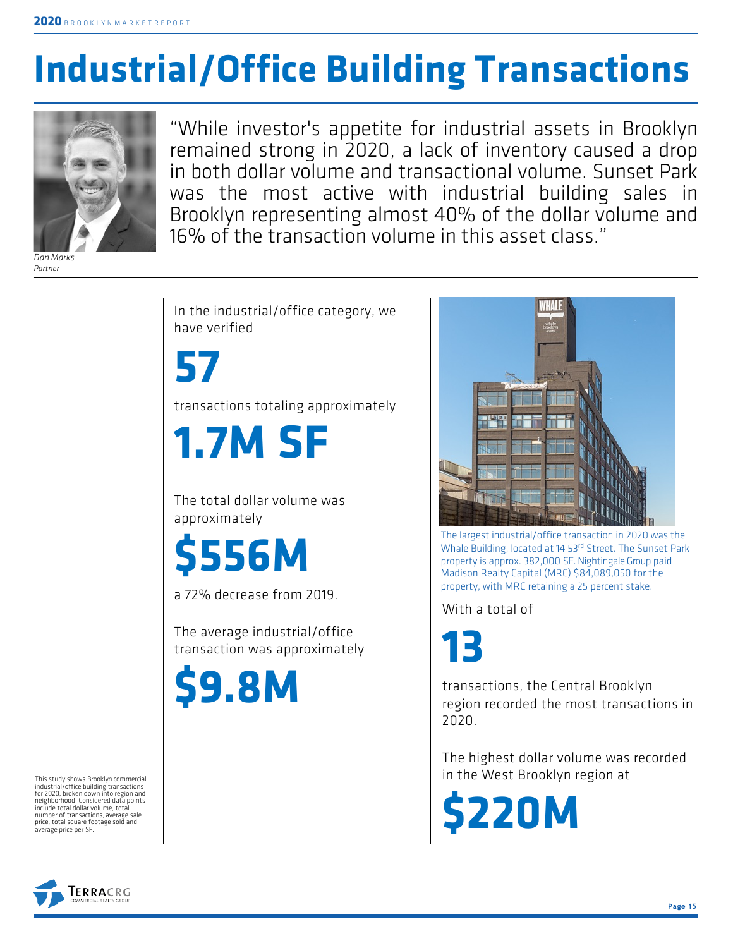## **Industrial/Office Building Transactions**



*Dan Marks Partner*

"While investor's appetite for industrial assets in Brooklyn remained strong in 2020, a lack of inventory caused a drop in both dollar volume and transactional volume. Sunset Park was the most active with industrial building sales in Brooklyn representing almost 40% of the dollar volume and 16% of the transaction volume in this asset class."

In the industrial/office category, we have verified

**57** transactions totaling approximately

**1.7M SF**

The total dollar volume was approximately

**\$556M**

a 72% decrease from 2019.

The average industrial/office transaction was approximately

**\$9.8M**

The largest industrial/office transaction in 2020 was the Whale Building, located at 14 53rd Street. The Sunset Park property is approx. 382,000 SF. Nightingale Group paid Madison Realty Capital (MRC) \$84,089,050 for the property, with MRC retaining a 25 percent stake.

With a total of

**13**

transactions, the Central Brooklyn region recorded the most transactions in 2020.

The highest dollar volume was recorded in the West Brooklyn region at

**\$220M**

This study shows Brooklyn commercial industrial/office building transactions for 2020, broken down into region and neighborhood. Considered data points include total dollar volume, total number of transactions, average sale price, total square footage sold and average price per SF.

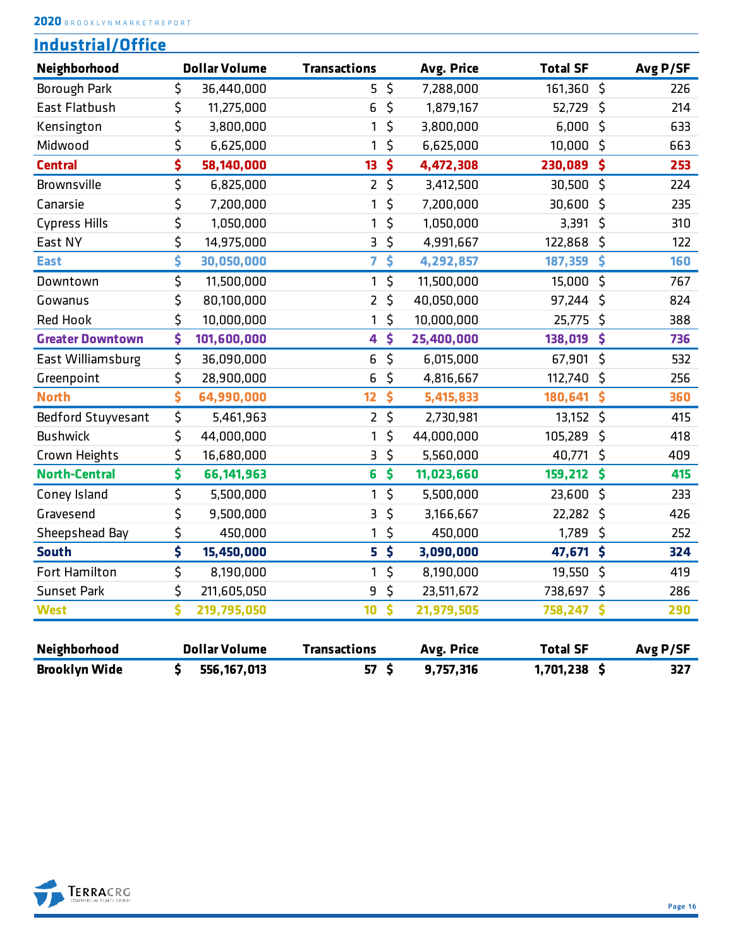```
2020 B R O O K L Y N M A R K E T R E P O R T
```

| <b>Industrial/Office</b> |    |                      |                     |          |            |                 |           |
|--------------------------|----|----------------------|---------------------|----------|------------|-----------------|-----------|
| Neighborhood             |    | <b>Dollar Volume</b> | <b>Transactions</b> |          | Avg. Price | <b>Total SF</b> | Avg P/SF  |
| Borough Park             | \$ | 36,440,000           | 5                   | $\zeta$  | 7,288,000  | 161,360         | \$<br>226 |
| East Flatbush            | \$ | 11,275,000           | 6                   | \$       | 1,879,167  | 52,729          | \$<br>214 |
| Kensington               | \$ | 3,800,000            | 1                   | \$       | 3,800,000  | 6,000           | \$<br>633 |
| Midwood                  | \$ | 6,625,000            | 1                   | \$       | 6,625,000  | 10,000          | \$<br>663 |
| <b>Central</b>           | \$ | 58,140,000           | 13 <sup>°</sup>     | \$       | 4,472,308  | 230,089         | \$<br>253 |
| Brownsville              | \$ | 6,825,000            | $\overline{2}$      | $\zeta$  | 3,412,500  | 30,500          | \$<br>224 |
| Canarsie                 | \$ | 7,200,000            | 1                   | \$       | 7,200,000  | 30,600          | \$<br>235 |
| <b>Cypress Hills</b>     | \$ | 1,050,000            | 1                   | \$       | 1,050,000  | 3,391           | \$<br>310 |
| East NY                  | \$ | 14,975,000           | 3                   | \$       | 4,991,667  | 122,868         | \$<br>122 |
| <b>East</b>              | \$ | 30,050,000           | 7                   | \$       | 4,292,857  | 187,359         | \$<br>160 |
| Downtown                 | \$ | 11,500,000           | 1                   | $\zeta$  | 11,500,000 | 15,000          | \$<br>767 |
| Gowanus                  | \$ | 80,100,000           | 2                   | \$       | 40,050,000 | 97,244          | \$<br>824 |
| <b>Red Hook</b>          | \$ | 10,000,000           | 1                   | \$       | 10,000,000 | 25,775          | \$<br>388 |
| <b>Greater Downtown</b>  | \$ | 101,600,000          | 4                   | \$       | 25,400,000 | 138,019         | \$<br>736 |
| East Williamsburg        | \$ | 36,090,000           | 6                   | $\zeta$  | 6,015,000  | 67,901          | \$<br>532 |
| Greenpoint               | \$ | 28,900,000           | 6                   | \$       | 4,816,667  | 112,740         | \$<br>256 |
| <b>North</b>             | \$ | 64,990,000           | 12                  | \$       | 5,415,833  | 180,641         | \$<br>360 |
| Bedford Stuyvesant       | \$ | 5,461,963            | $\overline{2}$      | $\zeta$  | 2,730,981  | 13,152          | \$<br>415 |
| <b>Bushwick</b>          | \$ | 44,000,000           | 1                   | \$       | 44,000,000 | 105,289         | \$<br>418 |
| Crown Heights            | \$ | 16,680,000           | З                   | \$       | 5,560,000  | 40,771          | \$<br>409 |
| <b>North-Central</b>     | \$ | 66, 141, 963         | 6                   | \$       | 11,023,660 | 159,212         | \$<br>415 |
| Coney Island             | \$ | 5,500,000            | 1                   | \$       | 5,500,000  | 23,600          | \$<br>233 |
| Gravesend                | \$ | 9,500,000            | 3                   | \$       | 3,166,667  | 22,282          | \$<br>426 |
| Sheepshead Bay           | \$ | 450,000              | 1                   | \$       | 450,000    | 1,789           | \$<br>252 |
| <b>South</b>             | \$ | 15,450,000           |                     | $5\;$ \$ | 3,090,000  | 47,671 \$       | 324       |
| Fort Hamilton            | Ş  | 8,190,000            |                     | Ş        | 8,190,000  | $19,550$ \$     | 419       |
| <b>Sunset Park</b>       | \$ | 211,605,050          | 9                   | \$       | 23,511,672 | 738,697 \$      | 286       |
| <b>West</b>              | \$ | 219,795,050          | 10                  | \$       | 21,979,505 | 758,247         | \$<br>290 |
|                          |    |                      |                     |          |            |                 |           |
| Neighborhood             |    | <b>Dollar Volume</b> | <b>Transactions</b> |          | Avg. Price | <b>Total SF</b> | Avg P/SF  |
| <b>Brooklyn Wide</b>     | \$ | 556, 167, 013        | 57 <sub>5</sub>     |          | 9,757,316  | 1,701,238 \$    | 327       |